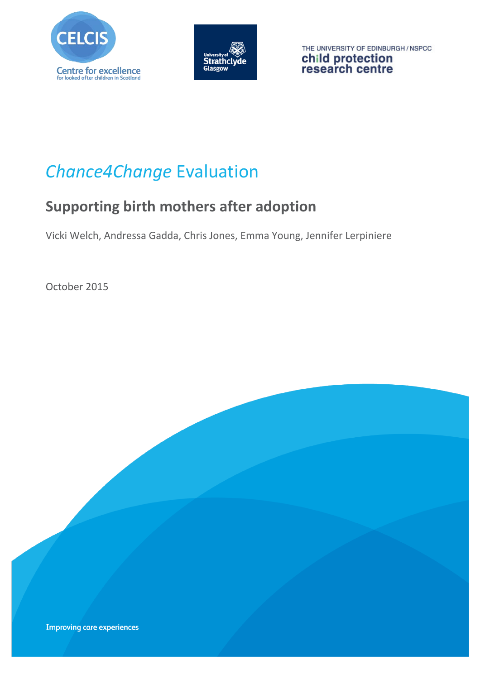



THE UNIVERSITY OF EDINBURGH / NSPCC child protection<br>research centre

# *Chance4Change* Evaluation

## **Supporting birth mothers after adoption**

Vicki Welch, Andressa Gadda, Chris Jones, Emma Young, Jennifer Lerpiniere

October 2015

**Improving care experiences**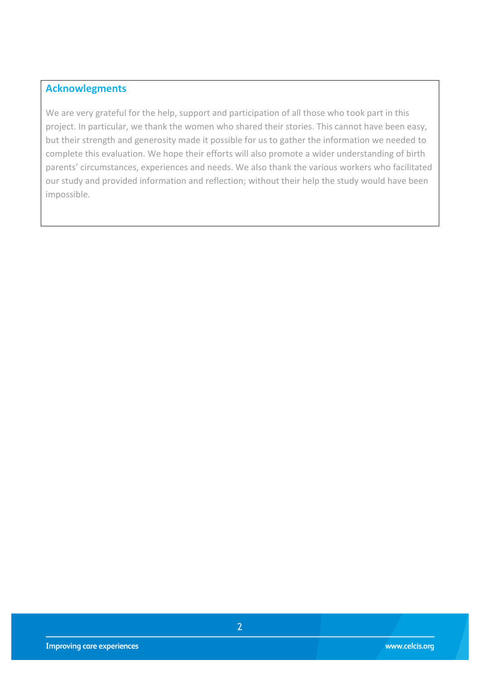#### **Acknowlegments**

We are very grateful for the help, support and participation of all those who took part in this project. In particular, we thank the women who shared their stories. This cannot have been easy, but their strength and generosity made it possible for us to gather the information we needed to complete this evaluation. We hope their efforts will also promote a wider understanding of birth parents' circumstances, experiences and needs. We also thank the various workers who facilitated our study and provided information and reflection; without their help the study would have been impossible.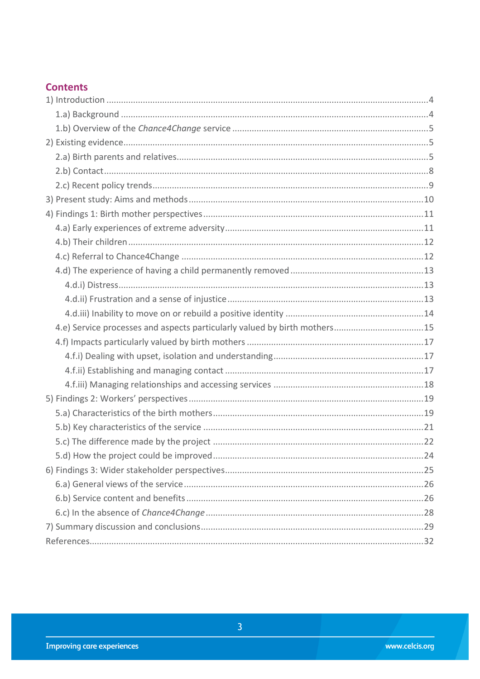#### **Contents**

| 4.e) Service processes and aspects particularly valued by birth mothers15 |
|---------------------------------------------------------------------------|
|                                                                           |
|                                                                           |
|                                                                           |
|                                                                           |
|                                                                           |
|                                                                           |
|                                                                           |
|                                                                           |
|                                                                           |
|                                                                           |
|                                                                           |
|                                                                           |
|                                                                           |
|                                                                           |
|                                                                           |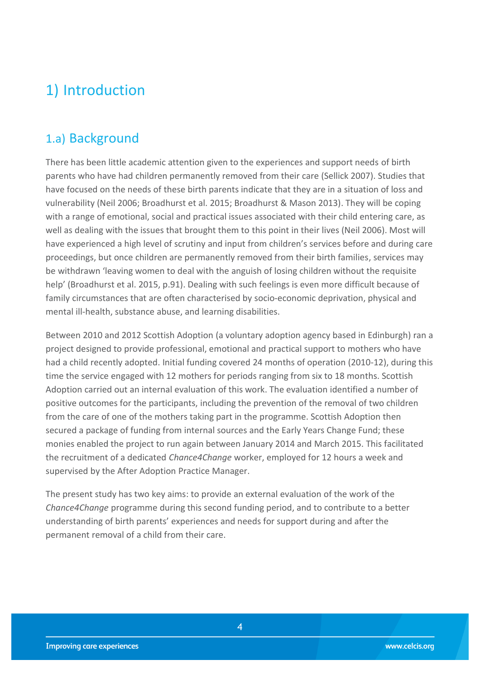## <span id="page-3-0"></span>1) Introduction

## <span id="page-3-1"></span>1.a) Background

There has been little academic attention given to the experiences and support needs of birth parents who have had children permanently removed from their care (Sellick 2007). Studies that have focused on the needs of these birth parents indicate that they are in a situation of loss and vulnerability (Neil 2006; Broadhurst et al. 2015; Broadhurst & Mason 2013). They will be coping with a range of emotional, social and practical issues associated with their child entering care, as well as dealing with the issues that brought them to this point in their lives (Neil 2006). Most will have experienced a high level of scrutiny and input from children's services before and during care proceedings, but once children are permanently removed from their birth families, services may be withdrawn 'leaving women to deal with the anguish of losing children without the requisite help' (Broadhurst et al. 2015, p.91). Dealing with such feelings is even more difficult because of family circumstances that are often characterised by socio-economic deprivation, physical and mental ill-health, substance abuse, and learning disabilities.

Between 2010 and 2012 Scottish Adoption (a voluntary adoption agency based in Edinburgh) ran a project designed to provide professional, emotional and practical support to mothers who have had a child recently adopted. Initial funding covered 24 months of operation (2010-12), during this time the service engaged with 12 mothers for periods ranging from six to 18 months. Scottish Adoption carried out an internal evaluation of this work. The evaluation identified a number of positive outcomes for the participants, including the prevention of the removal of two children from the care of one of the mothers taking part in the programme. Scottish Adoption then secured a package of funding from internal sources and the Early Years Change Fund; these monies enabled the project to run again between January 2014 and March 2015. This facilitated the recruitment of a dedicated *Chance4Change* worker, employed for 12 hours a week and supervised by the After Adoption Practice Manager.

The present study has two key aims: to provide an external evaluation of the work of the *Chance4Change* programme during this second funding period, and to contribute to a better understanding of birth parents' experiences and needs for support during and after the permanent removal of a child from their care.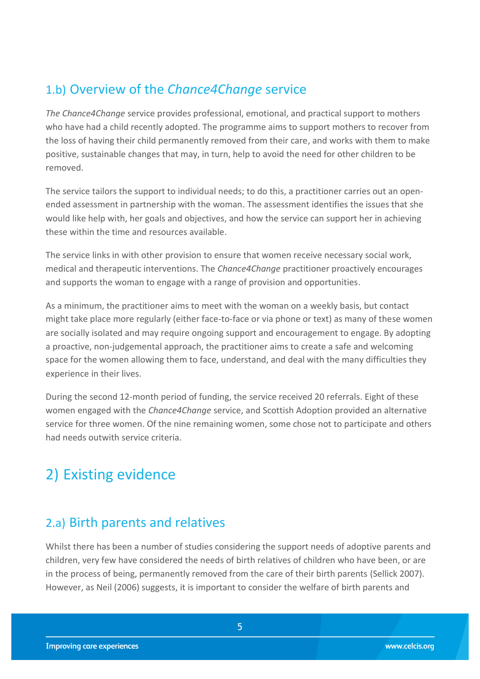### <span id="page-4-0"></span>1.b) Overview of the *Chance4Change* service

*The Chance4Change* service provides professional, emotional, and practical support to mothers who have had a child recently adopted. The programme aims to support mothers to recover from the loss of having their child permanently removed from their care, and works with them to make positive, sustainable changes that may, in turn, help to avoid the need for other children to be removed.

The service tailors the support to individual needs; to do this, a practitioner carries out an openended assessment in partnership with the woman. The assessment identifies the issues that she would like help with, her goals and objectives, and how the service can support her in achieving these within the time and resources available.

The service links in with other provision to ensure that women receive necessary social work, medical and therapeutic interventions. The *Chance4Change* practitioner proactively encourages and supports the woman to engage with a range of provision and opportunities.

As a minimum, the practitioner aims to meet with the woman on a weekly basis, but contact might take place more regularly (either face-to-face or via phone or text) as many of these women are socially isolated and may require ongoing support and encouragement to engage. By adopting a proactive, non-judgemental approach, the practitioner aims to create a safe and welcoming space for the women allowing them to face, understand, and deal with the many difficulties they experience in their lives.

During the second 12-month period of funding, the service received 20 referrals. Eight of these women engaged with the *Chance4Change* service, and Scottish Adoption provided an alternative service for three women. Of the nine remaining women, some chose not to participate and others had needs outwith service criteria.

## <span id="page-4-1"></span>2) Existing evidence

### <span id="page-4-2"></span>2.a) Birth parents and relatives

Whilst there has been a number of studies considering the support needs of adoptive parents and children, very few have considered the needs of birth relatives of children who have been, or are in the process of being, permanently removed from the care of their birth parents (Sellick 2007). However, as Neil (2006) suggests, it is important to consider the welfare of birth parents and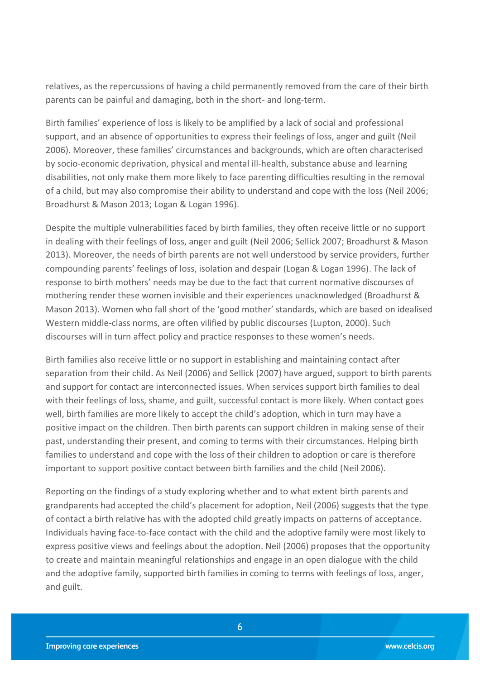relatives, as the repercussions of having a child permanently removed from the care of their birth parents can be painful and damaging, both in the short- and long-term.

Birth families' experience of loss is likely to be amplified by a lack of social and professional support, and an absence of opportunities to express their feelings of loss, anger and guilt (Neil 2006). Moreover, these families' circumstances and backgrounds, which are often characterised by socio-economic deprivation, physical and mental ill-health, substance abuse and learning disabilities, not only make them more likely to face parenting difficulties resulting in the removal of a child, but may also compromise their ability to understand and cope with the loss (Neil 2006; Broadhurst & Mason 2013; Logan & Logan 1996).

Despite the multiple vulnerabilities faced by birth families, they often receive little or no support in dealing with their feelings of loss, anger and guilt (Neil 2006; Sellick 2007; Broadhurst & Mason 2013). Moreover, the needs of birth parents are not well understood by service providers, further compounding parents' feelings of loss, isolation and despair (Logan & Logan 1996). The lack of response to birth mothers' needs may be due to the fact that current normative discourses of mothering render these women invisible and their experiences unacknowledged (Broadhurst & Mason 2013). Women who fall short of the 'good mother' standards, which are based on idealised Western middle-class norms, are often vilified by public discourses (Lupton, 2000). Such discourses will in turn affect policy and practice responses to these women's needs.

Birth families also receive little or no support in establishing and maintaining contact after separation from their child. As Neil (2006) and Sellick (2007) have argued, support to birth parents and support for contact are interconnected issues. When services support birth families to deal with their feelings of loss, shame, and guilt, successful contact is more likely. When contact goes well, birth families are more likely to accept the child's adoption, which in turn may have a positive impact on the children. Then birth parents can support children in making sense of their past, understanding their present, and coming to terms with their circumstances. Helping birth families to understand and cope with the loss of their children to adoption or care is therefore important to support positive contact between birth families and the child (Neil 2006).

Reporting on the findings of a study exploring whether and to what extent birth parents and grandparents had accepted the child's placement for adoption, Neil (2006) suggests that the type of contact a birth relative has with the adopted child greatly impacts on patterns of acceptance. Individuals having face-to-face contact with the child and the adoptive family were most likely to express positive views and feelings about the adoption. Neil (2006) proposes that the opportunity to create and maintain meaningful relationships and engage in an open dialogue with the child and the adoptive family, supported birth families in coming to terms with feelings of loss, anger, and guilt.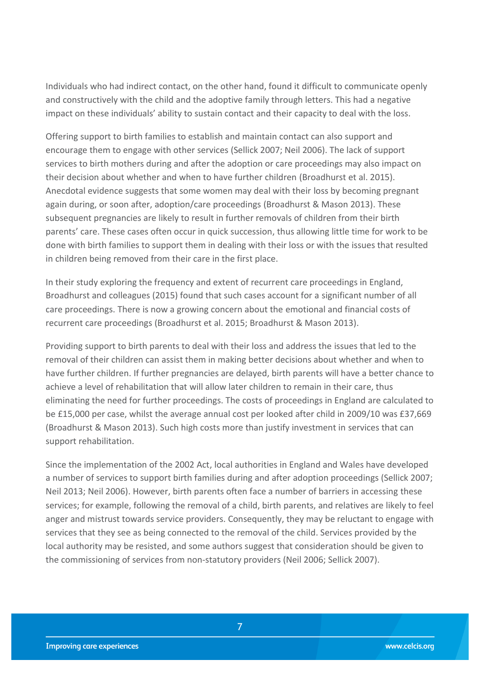Individuals who had indirect contact, on the other hand, found it difficult to communicate openly and constructively with the child and the adoptive family through letters. This had a negative impact on these individuals' ability to sustain contact and their capacity to deal with the loss.

Offering support to birth families to establish and maintain contact can also support and encourage them to engage with other services (Sellick 2007; Neil 2006). The lack of support services to birth mothers during and after the adoption or care proceedings may also impact on their decision about whether and when to have further children (Broadhurst et al. 2015). Anecdotal evidence suggests that some women may deal with their loss by becoming pregnant again during, or soon after, adoption/care proceedings (Broadhurst & Mason 2013). These subsequent pregnancies are likely to result in further removals of children from their birth parents' care. These cases often occur in quick succession, thus allowing little time for work to be done with birth families to support them in dealing with their loss or with the issues that resulted in children being removed from their care in the first place.

In their study exploring the frequency and extent of recurrent care proceedings in England, Broadhurst and colleagues (2015) found that such cases account for a significant number of all care proceedings. There is now a growing concern about the emotional and financial costs of recurrent care proceedings (Broadhurst et al. 2015; Broadhurst & Mason 2013).

Providing support to birth parents to deal with their loss and address the issues that led to the removal of their children can assist them in making better decisions about whether and when to have further children. If further pregnancies are delayed, birth parents will have a better chance to achieve a level of rehabilitation that will allow later children to remain in their care, thus eliminating the need for further proceedings. The costs of proceedings in England are calculated to be £15,000 per case, whilst the average annual cost per looked after child in 2009/10 was £37,669 (Broadhurst & Mason 2013). Such high costs more than justify investment in services that can support rehabilitation.

Since the implementation of the 2002 Act, local authorities in England and Wales have developed a number of services to support birth families during and after adoption proceedings (Sellick 2007; Neil 2013; Neil 2006). However, birth parents often face a number of barriers in accessing these services; for example, following the removal of a child, birth parents, and relatives are likely to feel anger and mistrust towards service providers. Consequently, they may be reluctant to engage with services that they see as being connected to the removal of the child. Services provided by the local authority may be resisted, and some authors suggest that consideration should be given to the commissioning of services from non-statutory providers (Neil 2006; Sellick 2007).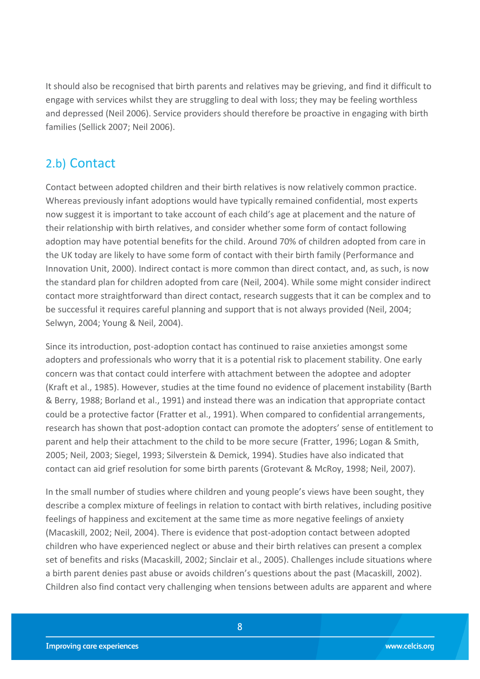It should also be recognised that birth parents and relatives may be grieving, and find it difficult to engage with services whilst they are struggling to deal with loss; they may be feeling worthless and depressed (Neil 2006). Service providers should therefore be proactive in engaging with birth families (Sellick 2007; Neil 2006).

### <span id="page-7-0"></span>2.b) Contact

Contact between adopted children and their birth relatives is now relatively common practice. Whereas previously infant adoptions would have typically remained confidential, most experts now suggest it is important to take account of each child's age at placement and the nature of their relationship with birth relatives, and consider whether some form of contact following adoption may have potential benefits for the child. Around 70% of children adopted from care in the UK today are likely to have some form of contact with their birth family (Performance and Innovation Unit, 2000). Indirect contact is more common than direct contact, and, as such, is now the standard plan for children adopted from care (Neil, 2004). While some might consider indirect contact more straightforward than direct contact, research suggests that it can be complex and to be successful it requires careful planning and support that is not always provided (Neil, 2004; Selwyn, 2004; Young & Neil, 2004).

Since its introduction, post-adoption contact has continued to raise anxieties amongst some adopters and professionals who worry that it is a potential risk to placement stability. One early concern was that contact could interfere with attachment between the adoptee and adopter (Kraft et al., 1985). However, studies at the time found no evidence of placement instability (Barth & Berry, 1988; Borland et al., 1991) and instead there was an indication that appropriate contact could be a protective factor (Fratter et al., 1991). When compared to confidential arrangements, research has shown that post-adoption contact can promote the adopters' sense of entitlement to parent and help their attachment to the child to be more secure (Fratter, 1996; Logan & Smith, 2005; Neil, 2003; Siegel, 1993; Silverstein & Demick, 1994). Studies have also indicated that contact can aid grief resolution for some birth parents (Grotevant & McRoy, 1998; Neil, 2007).

In the small number of studies where children and young people's views have been sought, they describe a complex mixture of feelings in relation to contact with birth relatives, including positive feelings of happiness and excitement at the same time as more negative feelings of anxiety (Macaskill, 2002; Neil, 2004). There is evidence that post-adoption contact between adopted children who have experienced neglect or abuse and their birth relatives can present a complex set of benefits and risks (Macaskill, 2002; Sinclair et al., 2005). Challenges include situations where a birth parent denies past abuse or avoids children's questions about the past (Macaskill, 2002). Children also find contact very challenging when tensions between adults are apparent and where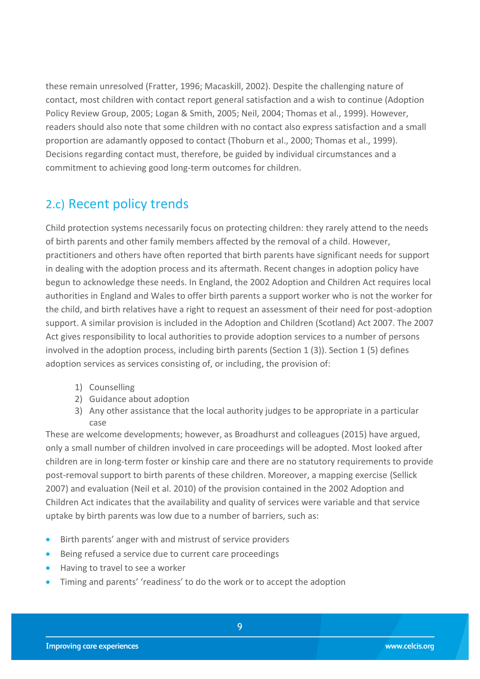these remain unresolved (Fratter, 1996; Macaskill, 2002). Despite the challenging nature of contact, most children with contact report general satisfaction and a wish to continue (Adoption Policy Review Group, 2005; Logan & Smith, 2005; Neil, 2004; Thomas et al., 1999). However, readers should also note that some children with no contact also express satisfaction and a small proportion are adamantly opposed to contact (Thoburn et al., 2000; Thomas et al., 1999). Decisions regarding contact must, therefore, be guided by individual circumstances and a commitment to achieving good long-term outcomes for children.

### <span id="page-8-0"></span>2.c) Recent policy trends

Child protection systems necessarily focus on protecting children: they rarely attend to the needs of birth parents and other family members affected by the removal of a child. However, practitioners and others have often reported that birth parents have significant needs for support in dealing with the adoption process and its aftermath. Recent changes in adoption policy have begun to acknowledge these needs. In England, the 2002 Adoption and Children Act requires local authorities in England and Wales to offer birth parents a support worker who is not the worker for the child, and birth relatives have a right to request an assessment of their need for post-adoption support. A similar provision is included in the Adoption and Children (Scotland) Act 2007. The 2007 Act gives responsibility to local authorities to provide adoption services to a number of persons involved in the adoption process, including birth parents (Section 1 (3)). Section 1 (5) defines adoption services as services consisting of, or including, the provision of:

- 1) Counselling
- 2) Guidance about adoption
- 3) Any other assistance that the local authority judges to be appropriate in a particular case

These are welcome developments; however, as Broadhurst and colleagues (2015) have argued, only a small number of children involved in care proceedings will be adopted. Most looked after children are in long-term foster or kinship care and there are no statutory requirements to provide post-removal support to birth parents of these children. Moreover, a mapping exercise (Sellick 2007) and evaluation (Neil et al. 2010) of the provision contained in the 2002 Adoption and Children Act indicates that the availability and quality of services were variable and that service uptake by birth parents was low due to a number of barriers, such as:

- Birth parents' anger with and mistrust of service providers
- Being refused a service due to current care proceedings
- Having to travel to see a worker
- Timing and parents' 'readiness' to do the work or to accept the adoption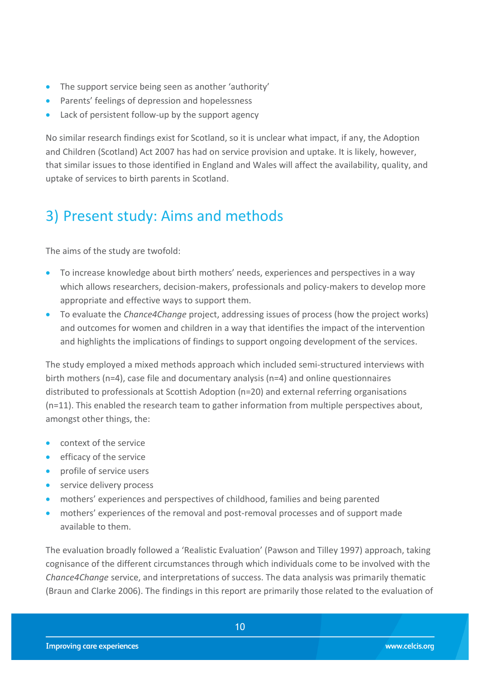- The support service being seen as another 'authority'
- **•** Parents' feelings of depression and hopelessness
- Lack of persistent follow-up by the support agency

No similar research findings exist for Scotland, so it is unclear what impact, if any, the Adoption and Children (Scotland) Act 2007 has had on service provision and uptake. It is likely, however, that similar issues to those identified in England and Wales will affect the availability, quality, and uptake of services to birth parents in Scotland.

## <span id="page-9-0"></span>3) Present study: Aims and methods

The aims of the study are twofold:

- To increase knowledge about birth mothers' needs, experiences and perspectives in a way which allows researchers, decision-makers, professionals and policy-makers to develop more appropriate and effective ways to support them.
- To evaluate the *Chance4Change* project, addressing issues of process (how the project works) and outcomes for women and children in a way that identifies the impact of the intervention and highlights the implications of findings to support ongoing development of the services.

The study employed a mixed methods approach which included semi-structured interviews with birth mothers (n=4), case file and documentary analysis (n=4) and online questionnaires distributed to professionals at Scottish Adoption (n=20) and external referring organisations (n=11). This enabled the research team to gather information from multiple perspectives about, amongst other things, the:

- context of the service
- $\bullet$  efficacy of the service
- **•** profile of service users
- **·** service delivery process
- mothers' experiences and perspectives of childhood, families and being parented
- mothers' experiences of the removal and post-removal processes and of support made available to them.

The evaluation broadly followed a 'Realistic Evaluation' (Pawson and Tilley 1997) approach, taking cognisance of the different circumstances through which individuals come to be involved with the *Chance4Change* service, and interpretations of success. The data analysis was primarily thematic (Braun and Clarke 2006). The findings in this report are primarily those related to the evaluation of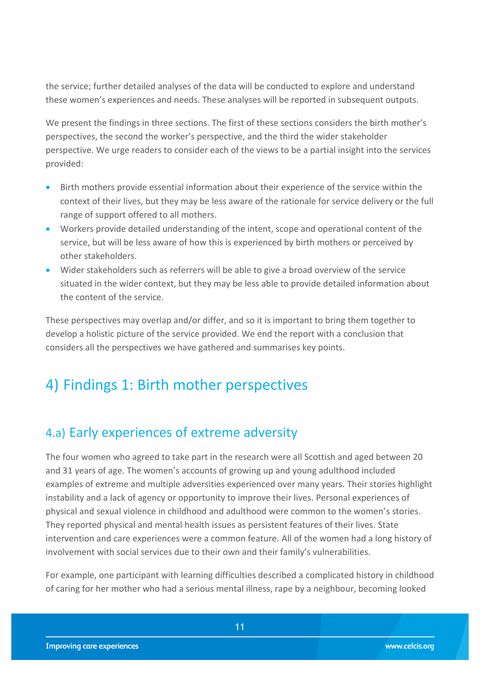the service; further detailed analyses of the data will be conducted to explore and understand these women's experiences and needs. These analyses will be reported in subsequent outputs.

We present the findings in three sections. The first of these sections considers the birth mother's perspectives, the second the worker's perspective, and the third the wider stakeholder perspective. We urge readers to consider each of the views to be a partial insight into the services provided:

- Birth mothers provide essential information about their experience of the service within the context of their lives, but they may be less aware of the rationale for service delivery or the full range of support offered to all mothers.
- Workers provide detailed understanding of the intent, scope and operational content of the service, but will be less aware of how this is experienced by birth mothers or perceived by other stakeholders.
- Wider stakeholders such as referrers will be able to give a broad overview of the service situated in the wider context, but they may be less able to provide detailed information about the content of the service.

These perspectives may overlap and/or differ, and so it is important to bring them together to develop a holistic picture of the service provided. We end the report with a conclusion that considers all the perspectives we have gathered and summarises key points.

## <span id="page-10-0"></span>4) Findings 1: Birth mother perspectives

## <span id="page-10-1"></span>4.a) Early experiences of extreme adversity

The four women who agreed to take part in the research were all Scottish and aged between 20 and 31 years of age. The women's accounts of growing up and young adulthood included examples of extreme and multiple adversities experienced over many years. Their stories highlight instability and a lack of agency or opportunity to improve their lives. Personal experiences of physical and sexual violence in childhood and adulthood were common to the women's stories. They reported physical and mental health issues as persistent features of their lives. State intervention and care experiences were a common feature. All of the women had a long history of involvement with social services due to their own and their family's vulnerabilities.

For example, one participant with learning difficulties described a complicated history in childhood of caring for her mother who had a serious mental illness, rape by a neighbour, becoming looked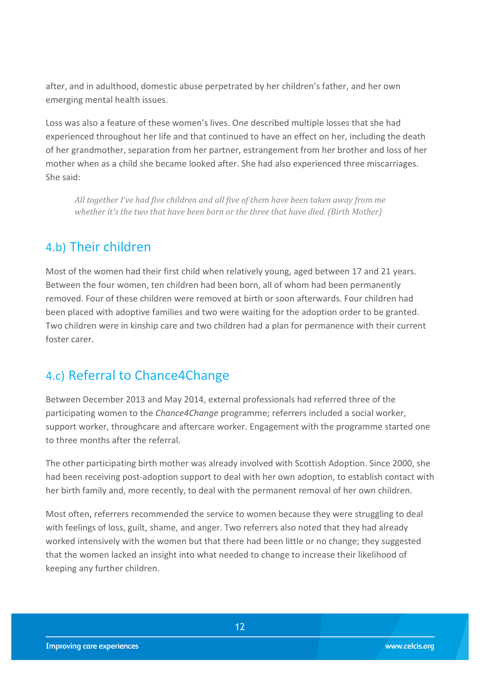after, and in adulthood, domestic abuse perpetrated by her children's father, and her own emerging mental health issues.

Loss was also a feature of these women's lives. One described multiple losses that she had experienced throughout her life and that continued to have an effect on her, including the death of her grandmother, separation from her partner, estrangement from her brother and loss of her mother when as a child she became looked after. She had also experienced three miscarriages. She said:

*All together I've had five children and all five of them have been taken away from me whether it's the two that have been born or the three that have died. (Birth Mother)*

### <span id="page-11-0"></span>4.b) Their children

Most of the women had their first child when relatively young, aged between 17 and 21 years. Between the four women, ten children had been born, all of whom had been permanently removed. Four of these children were removed at birth or soon afterwards. Four children had been placed with adoptive families and two were waiting for the adoption order to be granted. Two children were in kinship care and two children had a plan for permanence with their current foster carer.

## <span id="page-11-1"></span>4.c) Referral to Chance4Change

Between December 2013 and May 2014, external professionals had referred three of the participating women to the *Chance4Change* programme; referrers included a social worker, support worker, throughcare and aftercare worker. Engagement with the programme started one to three months after the referral.

The other participating birth mother was already involved with Scottish Adoption. Since 2000, she had been receiving post-adoption support to deal with her own adoption, to establish contact with her birth family and, more recently, to deal with the permanent removal of her own children.

Most often, referrers recommended the service to women because they were struggling to deal with feelings of loss, guilt, shame, and anger. Two referrers also noted that they had already worked intensively with the women but that there had been little or no change; they suggested that the women lacked an insight into what needed to change to increase their likelihood of keeping any further children.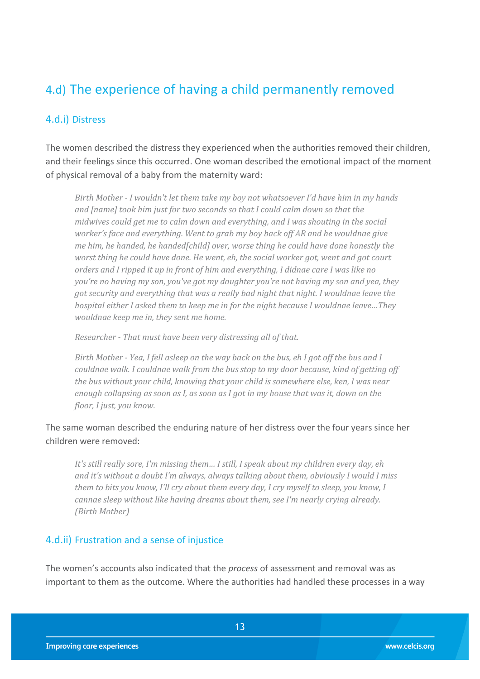## <span id="page-12-0"></span>4.d) The experience of having a child permanently removed

#### <span id="page-12-1"></span>4.d.i) Distress

The women described the distress they experienced when the authorities removed their children, and their feelings since this occurred. One woman described the emotional impact of the moment of physical removal of a baby from the maternity ward:

*Birth Mother - I wouldn't let them take my boy not whatsoever I'd have him in my hands and [name] took him just for two seconds so that I could calm down so that the midwives could get me to calm down and everything, and I was shouting in the social worker's face and everything. Went to grab my boy back off AR and he wouldnae give me him, he handed, he handed[child] over, worse thing he could have done honestly the worst thing he could have done. He went, eh, the social worker got, went and got court orders and I ripped it up in front of him and everything, I didnae care I was like no you're no having my son, you've got my daughter you're not having my son and yea, they got security and everything that was a really bad night that night. I wouldnae leave the hospital either I asked them to keep me in for the night because I wouldnae leave…They wouldnae keep me in, they sent me home.*

*Researcher - That must have been very distressing all of that.*

*Birth Mother - Yea, I fell asleep on the way back on the bus, eh I got off the bus and I couldnae walk. I couldnae walk from the bus stop to my door because, kind of getting off the bus without your child, knowing that your child is somewhere else, ken, I was near enough collapsing as soon as I, as soon as I got in my house that was it, down on the floor, I just, you know.*

The same woman described the enduring nature of her distress over the four years since her children were removed:

*It's still really sore, I'm missing them… I still, I speak about my children every day, eh and it's without a doubt I'm always, always talking about them, obviously I would I miss them to bits you know, I'll cry about them every day, I cry myself to sleep, you know, I cannae sleep without like having dreams about them, see I'm nearly crying already. (Birth Mother)*

#### <span id="page-12-2"></span>4.d.ii) Frustration and a sense of injustice

The women's accounts also indicated that the *process* of assessment and removal was as important to them as the outcome. Where the authorities had handled these processes in a way

13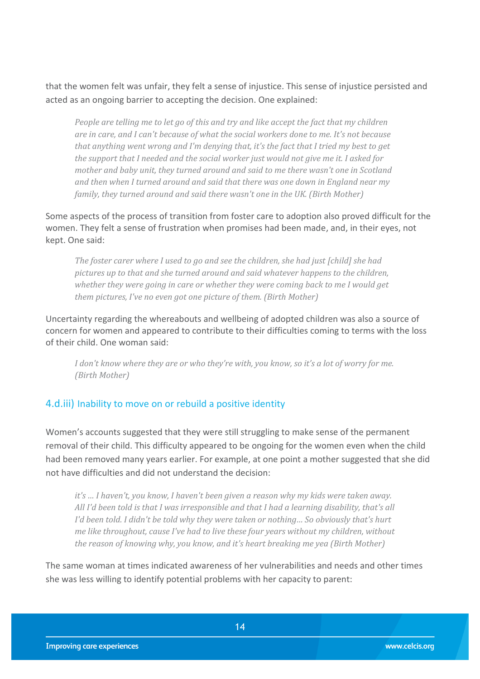that the women felt was unfair, they felt a sense of injustice. This sense of injustice persisted and acted as an ongoing barrier to accepting the decision. One explained:

*People are telling me to let go of this and try and like accept the fact that my children are in care, and I can't because of what the social workers done to me. It's not because that anything went wrong and I'm denying that, it's the fact that I tried my best to get the support that I needed and the social worker just would not give me it. I asked for mother and baby unit, they turned around and said to me there wasn't one in Scotland and then when I turned around and said that there was one down in England near my family, they turned around and said there wasn't one in the UK. (Birth Mother)*

Some aspects of the process of transition from foster care to adoption also proved difficult for the women. They felt a sense of frustration when promises had been made, and, in their eyes, not kept. One said:

*The foster carer where I used to go and see the children, she had just [child] she had pictures up to that and she turned around and said whatever happens to the children, whether they were going in care or whether they were coming back to me I would get them pictures, I've no even got one picture of them. (Birth Mother)*

Uncertainty regarding the whereabouts and wellbeing of adopted children was also a source of concern for women and appeared to contribute to their difficulties coming to terms with the loss of their child. One woman said:

*I don't know where they are or who they're with, you know, so it's a lot of worry for me. (Birth Mother)*

#### <span id="page-13-0"></span>4.d.iii) Inability to move on or rebuild a positive identity

Women's accounts suggested that they were still struggling to make sense of the permanent removal of their child. This difficulty appeared to be ongoing for the women even when the child had been removed many years earlier. For example, at one point a mother suggested that she did not have difficulties and did not understand the decision:

*it's … I haven't, you know, I haven't been given a reason why my kids were taken away. All I'd been told is that I was irresponsible and that I had a learning disability, that's all I'd been told. I didn't be told why they were taken or nothing… So obviously that's hurt me like throughout, cause I've had to live these four years without my children, without the reason of knowing why, you know, and it's heart breaking me yea (Birth Mother)*

The same woman at times indicated awareness of her vulnerabilities and needs and other times she was less willing to identify potential problems with her capacity to parent:

14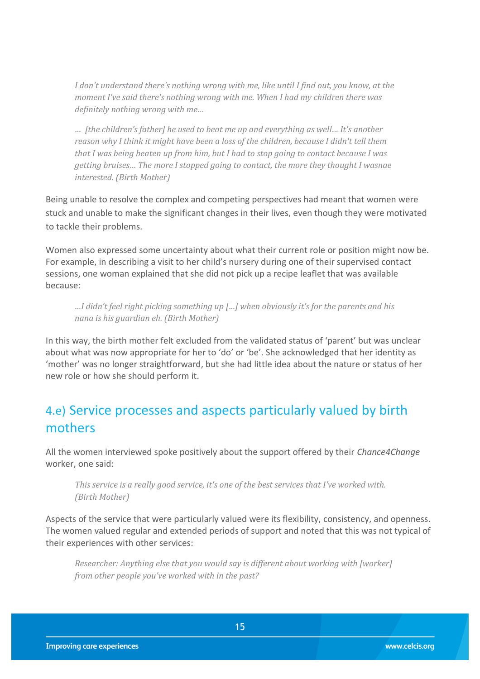*I don't understand there's nothing wrong with me, like until I find out, you know, at the moment I've said there's nothing wrong with me. When I had my children there was definitely nothing wrong with me…*

*… [the children's father] he used to beat me up and everything as well… It's another reason why I think it might have been a loss of the children, because I didn't tell them that I was being beaten up from him, but I had to stop going to contact because I was getting bruises… The more I stopped going to contact, the more they thought I wasnae interested. (Birth Mother)*

Being unable to resolve the complex and competing perspectives had meant that women were stuck and unable to make the significant changes in their lives, even though they were motivated to tackle their problems.

Women also expressed some uncertainty about what their current role or position might now be. For example, in describing a visit to her child's nursery during one of their supervised contact sessions, one woman explained that she did not pick up a recipe leaflet that was available because:

*…I didn't feel right picking something up […] when obviously it's for the parents and his nana is his guardian eh. (Birth Mother)*

In this way, the birth mother felt excluded from the validated status of 'parent' but was unclear about what was now appropriate for her to 'do' or 'be'. She acknowledged that her identity as 'mother' was no longer straightforward, but she had little idea about the nature or status of her new role or how she should perform it.

## <span id="page-14-0"></span>4.e) Service processes and aspects particularly valued by birth mothers

All the women interviewed spoke positively about the support offered by their *Chance4Change* worker, one said:

*This service is a really good service, it's one of the best services that I've worked with. (Birth Mother)*

Aspects of the service that were particularly valued were its flexibility, consistency, and openness. The women valued regular and extended periods of support and noted that this was not typical of their experiences with other services:

*Researcher: Anything else that you would say is different about working with [worker] from other people you've worked with in the past?*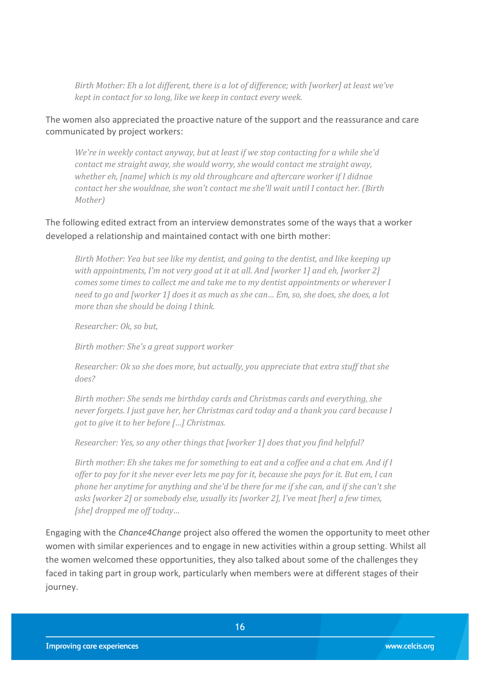*Birth Mother: Eh a lot different, there is a lot of difference; with [worker] at least we've kept in contact for so long, like we keep in contact every week.*

The women also appreciated the proactive nature of the support and the reassurance and care communicated by project workers:

*We're in weekly contact anyway, but at least if we stop contacting for a while she'd contact me straight away, she would worry, she would contact me straight away, whether eh, [name] which is my old throughcare and aftercare worker if I didnae contact her she wouldnae, she won't contact me she'll wait until I contact her. (Birth Mother)*

The following edited extract from an interview demonstrates some of the ways that a worker developed a relationship and maintained contact with one birth mother:

*Birth Mother: Yea but see like my dentist, and going to the dentist, and like keeping up with appointments, I'm not very good at it at all. And [worker 1] and eh, [worker 2] comes some times to collect me and take me to my dentist appointments or wherever I need to go and [worker 1] does it as much as she can… Em, so, she does, she does, a lot more than she should be doing I think.*

*Researcher: Ok, so but,*

*Birth mother: She's a great support worker* 

*Researcher: Ok so she does more, but actually, you appreciate that extra stuff that she does?*

*Birth mother: She sends me birthday cards and Christmas cards and everything, she never forgets. I just gave her, her Christmas card today and a thank you card because I got to give it to her before […] Christmas.*

*Researcher: Yes, so any other things that [worker 1] does that you find helpful?*

*Birth mother: Eh she takes me for something to eat and a coffee and a chat em. And if I offer to pay for it she never ever lets me pay for it, because she pays for it. But em, I can phone her anytime for anything and she'd be there for me if she can, and if she can't she asks [worker 2] or somebody else, usually its [worker 2], I've meat [her] a few times, [she] dropped me off today…*

Engaging with the *Chance4Change* project also offered the women the opportunity to meet other women with similar experiences and to engage in new activities within a group setting. Whilst all the women welcomed these opportunities, they also talked about some of the challenges they faced in taking part in group work, particularly when members were at different stages of their journey.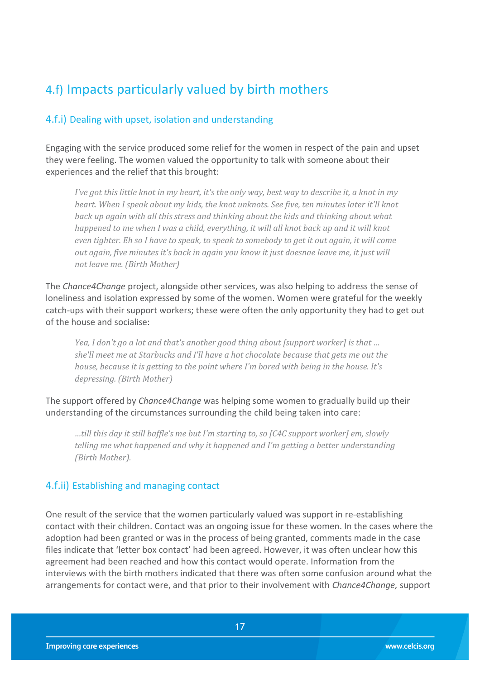## <span id="page-16-0"></span>4.f) Impacts particularly valued by birth mothers

#### <span id="page-16-1"></span>4.f.i) Dealing with upset, isolation and understanding

Engaging with the service produced some relief for the women in respect of the pain and upset they were feeling. The women valued the opportunity to talk with someone about their experiences and the relief that this brought:

*I've got this little knot in my heart, it's the only way, best way to describe it, a knot in my heart. When I speak about my kids, the knot unknots. See five, ten minutes later it'll knot back up again with all this stress and thinking about the kids and thinking about what happened to me when I was a child, everything, it will all knot back up and it will knot even tighter. Eh so I have to speak, to speak to somebody to get it out again, it will come out again, five minutes it's back in again you know it just doesnae leave me, it just will not leave me. (Birth Mother)* 

The *Chance4Change* project, alongside other services, was also helping to address the sense of loneliness and isolation expressed by some of the women. Women were grateful for the weekly catch-ups with their support workers; these were often the only opportunity they had to get out of the house and socialise:

*Yea, I don't go a lot and that's another good thing about [support worker] is that … she'll meet me at Starbucks and I'll have a hot chocolate because that gets me out the house, because it is getting to the point where I'm bored with being in the house. It's depressing. (Birth Mother)*

The support offered by *Chance4Change* was helping some women to gradually build up their understanding of the circumstances surrounding the child being taken into care:

*…till this day it still baffle's me but I'm starting to, so [C4C support worker] em, slowly telling me what happened and why it happened and I'm getting a better understanding (Birth Mother).*

#### <span id="page-16-2"></span>4.f.ii) Establishing and managing contact

One result of the service that the women particularly valued was support in re-establishing contact with their children. Contact was an ongoing issue for these women. In the cases where the adoption had been granted or was in the process of being granted, comments made in the case files indicate that 'letter box contact' had been agreed. However, it was often unclear how this agreement had been reached and how this contact would operate. Information from the interviews with the birth mothers indicated that there was often some confusion around what the arrangements for contact were, and that prior to their involvement with *Chance4Change,* support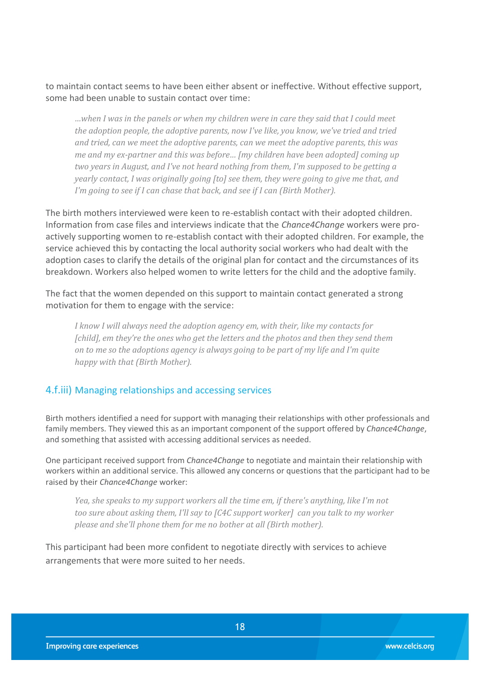to maintain contact seems to have been either absent or ineffective. Without effective support, some had been unable to sustain contact over time:

*…when I was in the panels or when my children were in care they said that I could meet the adoption people, the adoptive parents, now I've like, you know, we've tried and tried and tried, can we meet the adoptive parents, can we meet the adoptive parents, this was me and my ex-partner and this was before… [my children have been adopted] coming up two years in August, and I've not heard nothing from them, I'm supposed to be getting a yearly contact, I was originally going [to] see them, they were going to give me that, and I'm going to see if I can chase that back, and see if I can (Birth Mother).*

The birth mothers interviewed were keen to re-establish contact with their adopted children. Information from case files and interviews indicate that the *Chance4Change* workers were proactively supporting women to re-establish contact with their adopted children. For example, the service achieved this by contacting the local authority social workers who had dealt with the adoption cases to clarify the details of the original plan for contact and the circumstances of its breakdown. Workers also helped women to write letters for the child and the adoptive family.

The fact that the women depended on this support to maintain contact generated a strong motivation for them to engage with the service:

*I know I will always need the adoption agency em, with their, like my contacts for [child], em they're the ones who get the letters and the photos and then they send them on to me so the adoptions agency is always going to be part of my life and I'm quite happy with that (Birth Mother).*

#### <span id="page-17-0"></span>4.f.iii) Managing relationships and accessing services

Birth mothers identified a need for support with managing their relationships with other professionals and family members. They viewed this as an important component of the support offered by *Chance4Change*, and something that assisted with accessing additional services as needed.

One participant received support from *Chance4Change* to negotiate and maintain their relationship with workers within an additional service. This allowed any concerns or questions that the participant had to be raised by their *Chance4Change* worker:

*Yea, she speaks to my support workers all the time em, if there's anything, like I'm not too sure about asking them, I'll say to [C4C support worker] can you talk to my worker please and she'll phone them for me no bother at all (Birth mother).*

This participant had been more confident to negotiate directly with services to achieve arrangements that were more suited to her needs.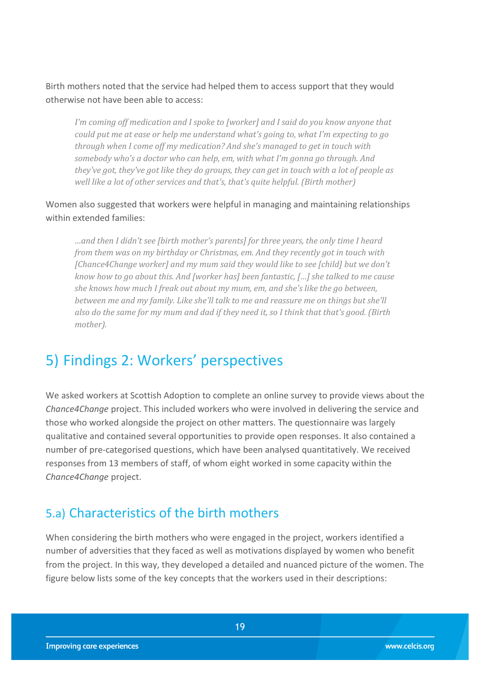Birth mothers noted that the service had helped them to access support that they would otherwise not have been able to access:

*I'm coming off medication and I spoke to [worker] and I said do you know anyone that could put me at ease or help me understand what's going to, what I'm expecting to go through when I come off my medication? And she's managed to get in touch with somebody who's a doctor who can help, em, with what I'm gonna go through. And they've got, they've got like they do groups, they can get in touch with a lot of people as well like a lot of other services and that's, that's quite helpful. (Birth mother)*

Women also suggested that workers were helpful in managing and maintaining relationships within extended families:

*…and then I didn't see [birth mother's parents] for three years, the only time I heard from them was on my birthday or Christmas, em. And they recently got in touch with [Chance4Change worker] and my mum said they would like to see [child] but we don't know how to go about this. And [worker has] been fantastic, […] she talked to me cause she knows how much I freak out about my mum, em, and she's like the go between, between me and my family. Like she'll talk to me and reassure me on things but she'll also do the same for my mum and dad if they need it, so I think that that's good. (Birth mother).*

## <span id="page-18-0"></span>5) Findings 2: Workers' perspectives

We asked workers at Scottish Adoption to complete an online survey to provide views about the *Chance4Change* project. This included workers who were involved in delivering the service and those who worked alongside the project on other matters. The questionnaire was largely qualitative and contained several opportunities to provide open responses. It also contained a number of pre-categorised questions, which have been analysed quantitatively. We received responses from 13 members of staff, of whom eight worked in some capacity within the *Chance4Change* project.

### <span id="page-18-1"></span>5.a) Characteristics of the birth mothers

When considering the birth mothers who were engaged in the project, workers identified a number of adversities that they faced as well as motivations displayed by women who benefit from the project. In this way, they developed a detailed and nuanced picture of the women. The figure below lists some of the key concepts that the workers used in their descriptions: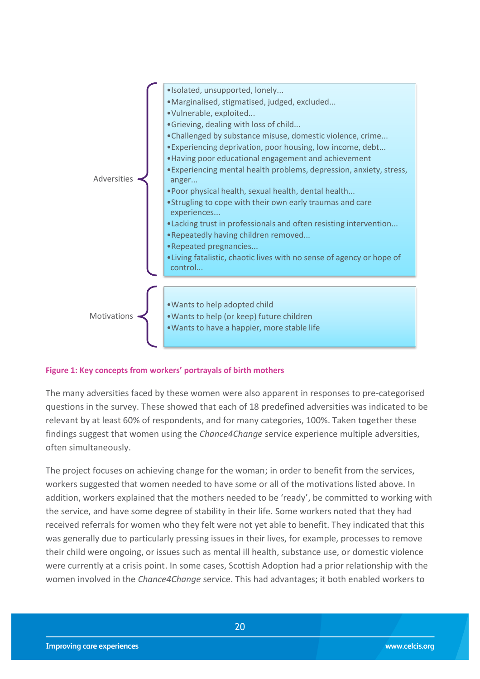

#### **Figure 1: Key concepts from workers' portrayals of birth mothers**

The many adversities faced by these women were also apparent in responses to pre-categorised questions in the survey. These showed that each of 18 predefined adversities was indicated to be relevant by at least 60% of respondents, and for many categories, 100%. Taken together these findings suggest that women using the *Chance4Change* service experience multiple adversities, often simultaneously.

The project focuses on achieving change for the woman; in order to benefit from the services, workers suggested that women needed to have some or all of the motivations listed above. In addition, workers explained that the mothers needed to be 'ready', be committed to working with the service, and have some degree of stability in their life. Some workers noted that they had received referrals for women who they felt were not yet able to benefit. They indicated that this was generally due to particularly pressing issues in their lives, for example, processes to remove their child were ongoing, or issues such as mental ill health, substance use, or domestic violence were currently at a crisis point. In some cases, Scottish Adoption had a prior relationship with the women involved in the *Chance4Change* service. This had advantages; it both enabled workers to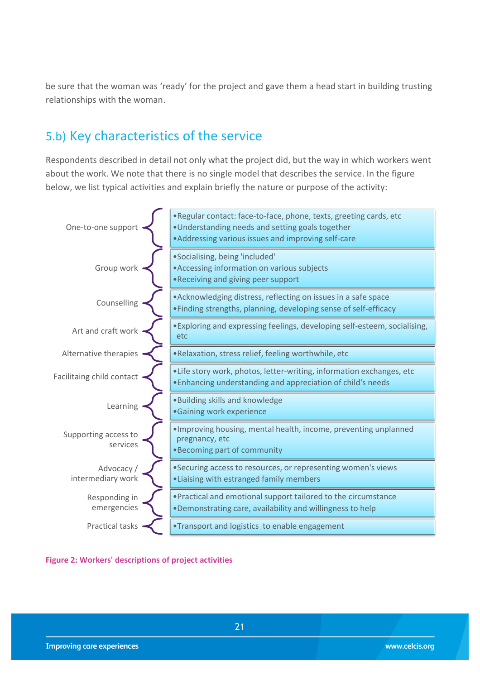be sure that the woman was 'ready' for the project and gave them a head start in building trusting relationships with the woman.

## <span id="page-20-0"></span>5.b) Key characteristics of the service

Respondents described in detail not only what the project did, but the way in which workers went about the work. We note that there is no single model that describes the service. In the figure below, we list typical activities and explain briefly the nature or purpose of the activity:



**Figure 2: Workers' descriptions of project activities**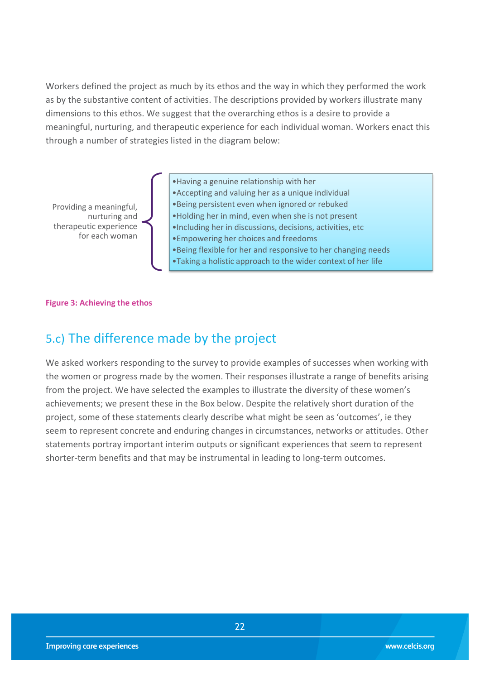Workers defined the project as much by its ethos and the way in which they performed the work as by the substantive content of activities. The descriptions provided by workers illustrate many dimensions to this ethos. We suggest that the overarching ethos is a desire to provide a meaningful, nurturing, and therapeutic experience for each individual woman. Workers enact this through a number of strategies listed in the diagram below:

Providing a meaningful, nurturing and therapeutic experience for each woman •Having a genuine relationship with her •Accepting and valuing her as a unique individual •Being persistent even when ignored or rebuked •Holding her in mind, even when she is not present •Including her in discussions, decisions, activities, etc •Empowering her choices and freedoms •Being flexible for her and responsive to her changing needs •Taking a holistic approach to the wider context of her life

#### **Figure 3: Achieving the ethos**

### <span id="page-21-0"></span>5.c) The difference made by the project

We asked workers responding to the survey to provide examples of successes when working with the women or progress made by the women. Their responses illustrate a range of benefits arising from the project. We have selected the examples to illustrate the diversity of these women's achievements; we present these in the Box below. Despite the relatively short duration of the project, some of these statements clearly describe what might be seen as 'outcomes', ie they seem to represent concrete and enduring changes in circumstances, networks or attitudes. Other statements portray important interim outputs or significant experiences that seem to represent shorter-term benefits and that may be instrumental in leading to long-term outcomes.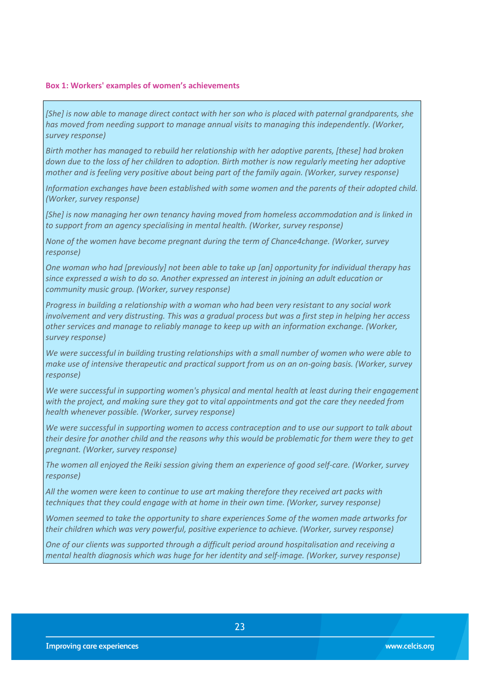#### **Box 1: Workers' examples of women's achievements**

*[She] is now able to manage direct contact with her son who is placed with paternal grandparents, she has moved from needing support to manage annual visits to managing this independently. (Worker, survey response)*

*Birth mother has managed to rebuild her relationship with her adoptive parents, [these] had broken down due to the loss of her children to adoption. Birth mother is now regularly meeting her adoptive mother and is feeling very positive about being part of the family again. (Worker, survey response)*

*Information exchanges have been established with some women and the parents of their adopted child. (Worker, survey response)*

*[She] is now managing her own tenancy having moved from homeless accommodation and is linked in to support from an agency specialising in mental health. (Worker, survey response)*

*None of the women have become pregnant during the term of Chance4change. (Worker, survey response)*

*One woman who had [previously] not been able to take up [an] opportunity for individual therapy has since expressed a wish to do so. Another expressed an interest in joining an adult education or community music group. (Worker, survey response)*

*Progress in building a relationship with a woman who had been very resistant to any social work involvement and very distrusting. This was a gradual process but was a first step in helping her access other services and manage to reliably manage to keep up with an information exchange. (Worker, survey response)* 

*We were successful in building trusting relationships with a small number of women who were able to make use of intensive therapeutic and practical support from us on an on-going basis. (Worker, survey response)*

*We were successful in supporting women's physical and mental health at least during their engagement with the project, and making sure they got to vital appointments and got the care they needed from health whenever possible. (Worker, survey response)* 

*We were successful in supporting women to access contraception and to use our support to talk about their desire for another child and the reasons why this would be problematic for them were they to get pregnant. (Worker, survey response)* 

*The women all enjoyed the Reiki session giving them an experience of good self-care. (Worker, survey response)*

*All the women were keen to continue to use art making therefore they received art packs with techniques that they could engage with at home in their own time. (Worker, survey response)* 

*Women seemed to take the opportunity to share experiences Some of the women made artworks for their children which was very powerful, positive experience to achieve. (Worker, survey response)*

*One of our clients was supported through a difficult period around hospitalisation and receiving a mental health diagnosis which was huge for her identity and self-image. (Worker, survey response)*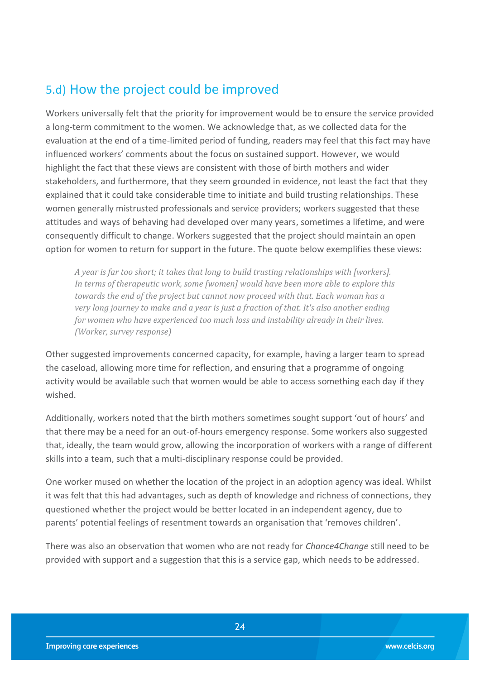## <span id="page-23-0"></span>5.d) How the project could be improved

Workers universally felt that the priority for improvement would be to ensure the service provided a long-term commitment to the women. We acknowledge that, as we collected data for the evaluation at the end of a time-limited period of funding, readers may feel that this fact may have influenced workers' comments about the focus on sustained support. However, we would highlight the fact that these views are consistent with those of birth mothers and wider stakeholders, and furthermore, that they seem grounded in evidence, not least the fact that they explained that it could take considerable time to initiate and build trusting relationships. These women generally mistrusted professionals and service providers; workers suggested that these attitudes and ways of behaving had developed over many years, sometimes a lifetime, and were consequently difficult to change. Workers suggested that the project should maintain an open option for women to return for support in the future. The quote below exemplifies these views:

*A year is far too short; it takes that long to build trusting relationships with [workers]. In terms of therapeutic work, some [women] would have been more able to explore this towards the end of the project but cannot now proceed with that. Each woman has a very long journey to make and a year is just a fraction of that. It's also another ending for women who have experienced too much loss and instability already in their lives. (Worker, survey response)*

Other suggested improvements concerned capacity, for example, having a larger team to spread the caseload, allowing more time for reflection, and ensuring that a programme of ongoing activity would be available such that women would be able to access something each day if they wished.

Additionally, workers noted that the birth mothers sometimes sought support 'out of hours' and that there may be a need for an out-of-hours emergency response. Some workers also suggested that, ideally, the team would grow, allowing the incorporation of workers with a range of different skills into a team, such that a multi-disciplinary response could be provided.

One worker mused on whether the location of the project in an adoption agency was ideal. Whilst it was felt that this had advantages, such as depth of knowledge and richness of connections, they questioned whether the project would be better located in an independent agency, due to parents' potential feelings of resentment towards an organisation that 'removes children'.

There was also an observation that women who are not ready for *Chance4Change* still need to be provided with support and a suggestion that this is a service gap, which needs to be addressed.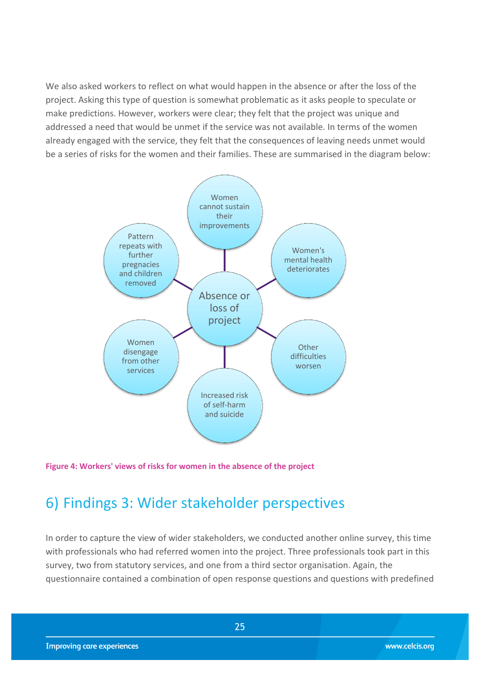We also asked workers to reflect on what would happen in the absence or after the loss of the project. Asking this type of question is somewhat problematic as it asks people to speculate or make predictions. However, workers were clear; they felt that the project was unique and addressed a need that would be unmet if the service was not available. In terms of the women already engaged with the service, they felt that the consequences of leaving needs unmet would be a series of risks for the women and their families. These are summarised in the diagram below:



**Figure 4: Workers' views of risks for women in the absence of the project**

## <span id="page-24-0"></span>6) Findings 3: Wider stakeholder perspectives

In order to capture the view of wider stakeholders, we conducted another online survey, this time with professionals who had referred women into the project. Three professionals took part in this survey, two from statutory services, and one from a third sector organisation. Again, the questionnaire contained a combination of open response questions and questions with predefined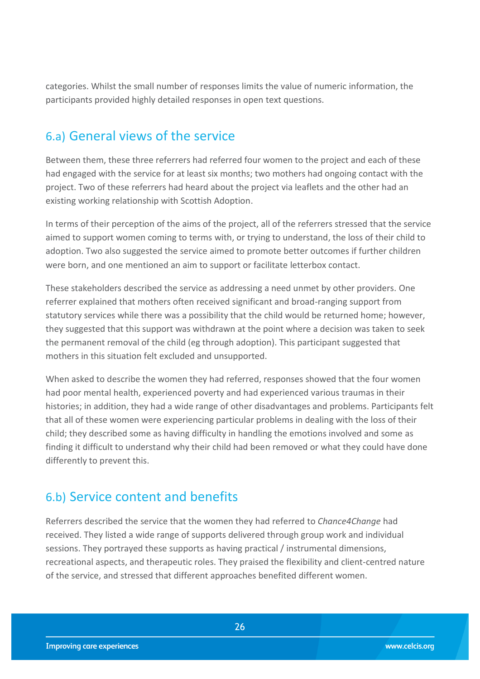categories. Whilst the small number of responses limits the value of numeric information, the participants provided highly detailed responses in open text questions.

## <span id="page-25-0"></span>6.a) General views of the service

Between them, these three referrers had referred four women to the project and each of these had engaged with the service for at least six months; two mothers had ongoing contact with the project. Two of these referrers had heard about the project via leaflets and the other had an existing working relationship with Scottish Adoption.

In terms of their perception of the aims of the project, all of the referrers stressed that the service aimed to support women coming to terms with, or trying to understand, the loss of their child to adoption. Two also suggested the service aimed to promote better outcomes if further children were born, and one mentioned an aim to support or facilitate letterbox contact.

These stakeholders described the service as addressing a need unmet by other providers. One referrer explained that mothers often received significant and broad-ranging support from statutory services while there was a possibility that the child would be returned home; however, they suggested that this support was withdrawn at the point where a decision was taken to seek the permanent removal of the child (eg through adoption). This participant suggested that mothers in this situation felt excluded and unsupported.

When asked to describe the women they had referred, responses showed that the four women had poor mental health, experienced poverty and had experienced various traumas in their histories; in addition, they had a wide range of other disadvantages and problems. Participants felt that all of these women were experiencing particular problems in dealing with the loss of their child; they described some as having difficulty in handling the emotions involved and some as finding it difficult to understand why their child had been removed or what they could have done differently to prevent this.

### <span id="page-25-1"></span>6.b) Service content and benefits

Referrers described the service that the women they had referred to *Chance4Change* had received. They listed a wide range of supports delivered through group work and individual sessions. They portrayed these supports as having practical / instrumental dimensions, recreational aspects, and therapeutic roles. They praised the flexibility and client-centred nature of the service, and stressed that different approaches benefited different women.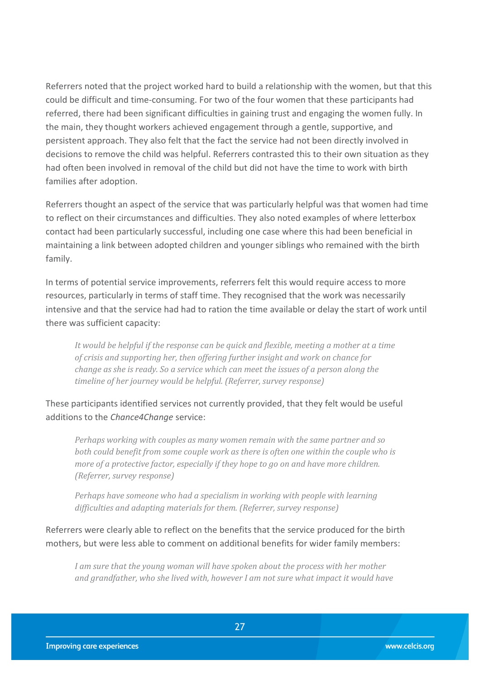Referrers noted that the project worked hard to build a relationship with the women, but that this could be difficult and time-consuming. For two of the four women that these participants had referred, there had been significant difficulties in gaining trust and engaging the women fully. In the main, they thought workers achieved engagement through a gentle, supportive, and persistent approach. They also felt that the fact the service had not been directly involved in decisions to remove the child was helpful. Referrers contrasted this to their own situation as they had often been involved in removal of the child but did not have the time to work with birth families after adoption.

Referrers thought an aspect of the service that was particularly helpful was that women had time to reflect on their circumstances and difficulties. They also noted examples of where letterbox contact had been particularly successful, including one case where this had been beneficial in maintaining a link between adopted children and younger siblings who remained with the birth family.

In terms of potential service improvements, referrers felt this would require access to more resources, particularly in terms of staff time. They recognised that the work was necessarily intensive and that the service had had to ration the time available or delay the start of work until there was sufficient capacity:

*It would be helpful if the response can be quick and flexible, meeting a mother at a time of crisis and supporting her, then offering further insight and work on chance for change as she is ready. So a service which can meet the issues of a person along the timeline of her journey would be helpful. (Referrer, survey response)*

These participants identified services not currently provided, that they felt would be useful additions to the *Chance4Change* service:

*Perhaps working with couples as many women remain with the same partner and so both could benefit from some couple work as there is often one within the couple who is more of a protective factor, especially if they hope to go on and have more children. (Referrer, survey response)*

*Perhaps have someone who had a specialism in working with people with learning difficulties and adapting materials for them. (Referrer, survey response)*

Referrers were clearly able to reflect on the benefits that the service produced for the birth mothers, but were less able to comment on additional benefits for wider family members:

*I am sure that the young woman will have spoken about the process with her mother and grandfather, who she lived with, however I am not sure what impact it would have* 

27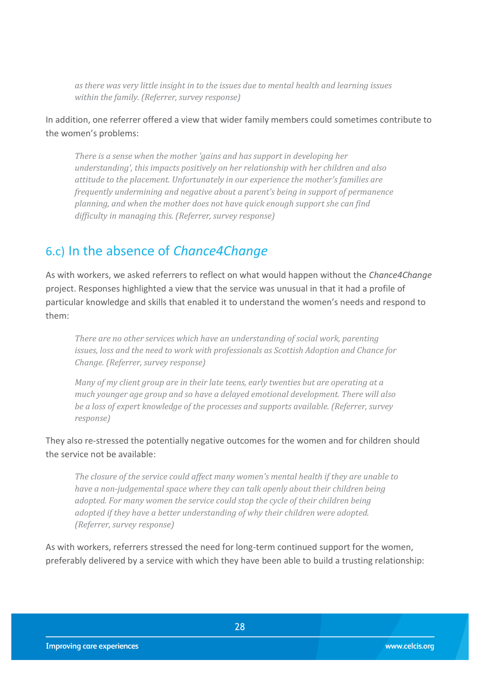*as there was very little insight in to the issues due to mental health and learning issues within the family. (Referrer, survey response)*

In addition, one referrer offered a view that wider family members could sometimes contribute to the women's problems:

*There is a sense when the mother 'gains and has support in developing her understanding', this impacts positively on her relationship with her children and also attitude to the placement. Unfortunately in our experience the mother's families are frequently undermining and negative about a parent's being in support of permanence planning, and when the mother does not have quick enough support she can find difficulty in managing this. (Referrer, survey response)*

### <span id="page-27-0"></span>6.c) In the absence of *Chance4Change*

As with workers, we asked referrers to reflect on what would happen without the *Chance4Change* project. Responses highlighted a view that the service was unusual in that it had a profile of particular knowledge and skills that enabled it to understand the women's needs and respond to them:

*There are no other services which have an understanding of social work, parenting issues, loss and the need to work with professionals as Scottish Adoption and Chance for Change. (Referrer, survey response)* 

*Many of my client group are in their late teens, early twenties but are operating at a much younger age group and so have a delayed emotional development. There will also be a loss of expert knowledge of the processes and supports available. (Referrer, survey response)*

They also re-stressed the potentially negative outcomes for the women and for children should the service not be available:

*The closure of the service could affect many women's mental health if they are unable to have a non-judgemental space where they can talk openly about their children being adopted. For many women the service could stop the cycle of their children being adopted if they have a better understanding of why their children were adopted. (Referrer, survey response)*

As with workers, referrers stressed the need for long-term continued support for the women, preferably delivered by a service with which they have been able to build a trusting relationship: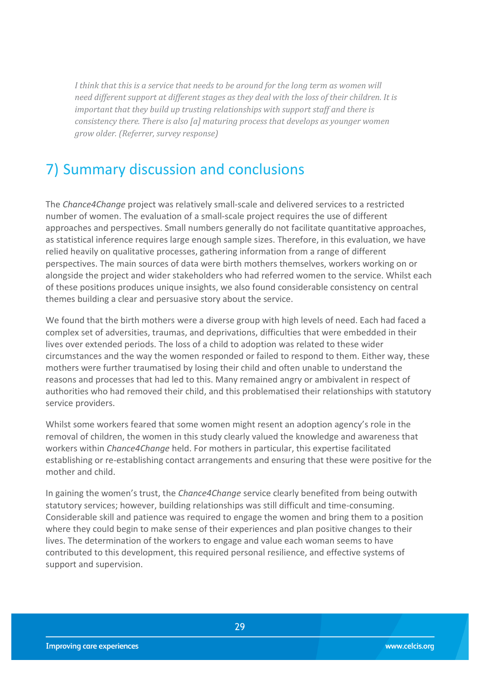*I think that this is a service that needs to be around for the long term as women will need different support at different stages as they deal with the loss of their children. It is important that they build up trusting relationships with support staff and there is consistency there. There is also [a] maturing process that develops as younger women grow older. (Referrer, survey response)*

## <span id="page-28-0"></span>7) Summary discussion and conclusions

The *Chance4Change* project was relatively small-scale and delivered services to a restricted number of women. The evaluation of a small-scale project requires the use of different approaches and perspectives. Small numbers generally do not facilitate quantitative approaches, as statistical inference requires large enough sample sizes. Therefore, in this evaluation, we have relied heavily on qualitative processes, gathering information from a range of different perspectives. The main sources of data were birth mothers themselves, workers working on or alongside the project and wider stakeholders who had referred women to the service. Whilst each of these positions produces unique insights, we also found considerable consistency on central themes building a clear and persuasive story about the service.

We found that the birth mothers were a diverse group with high levels of need. Each had faced a complex set of adversities, traumas, and deprivations, difficulties that were embedded in their lives over extended periods. The loss of a child to adoption was related to these wider circumstances and the way the women responded or failed to respond to them. Either way, these mothers were further traumatised by losing their child and often unable to understand the reasons and processes that had led to this. Many remained angry or ambivalent in respect of authorities who had removed their child, and this problematised their relationships with statutory service providers.

Whilst some workers feared that some women might resent an adoption agency's role in the removal of children, the women in this study clearly valued the knowledge and awareness that workers within *Chance4Change* held. For mothers in particular, this expertise facilitated establishing or re-establishing contact arrangements and ensuring that these were positive for the mother and child.

In gaining the women's trust, the *Chance4Change* service clearly benefited from being outwith statutory services; however, building relationships was still difficult and time-consuming. Considerable skill and patience was required to engage the women and bring them to a position where they could begin to make sense of their experiences and plan positive changes to their lives. The determination of the workers to engage and value each woman seems to have contributed to this development, this required personal resilience, and effective systems of support and supervision.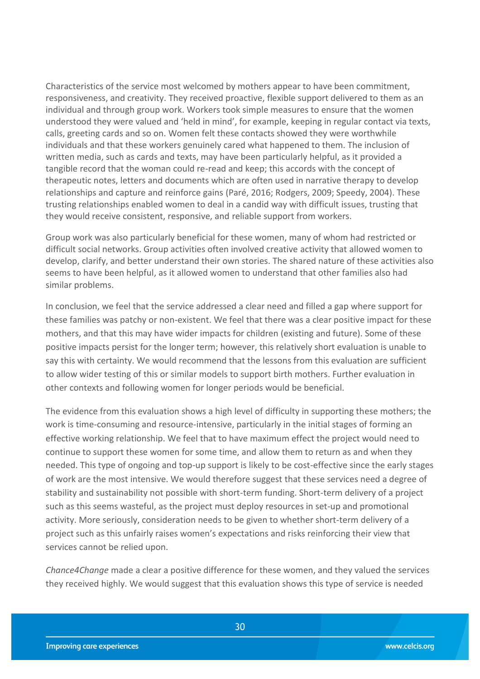Characteristics of the service most welcomed by mothers appear to have been commitment, responsiveness, and creativity. They received proactive, flexible support delivered to them as an individual and through group work. Workers took simple measures to ensure that the women understood they were valued and 'held in mind', for example, keeping in regular contact via texts, calls, greeting cards and so on. Women felt these contacts showed they were worthwhile individuals and that these workers genuinely cared what happened to them. The inclusion of written media, such as cards and texts, may have been particularly helpful, as it provided a tangible record that the woman could re-read and keep; this accords with the concept of therapeutic notes, letters and documents which are often used in narrative therapy to develop relationships and capture and reinforce gains (Paré, 2016; Rodgers, 2009; Speedy, 2004). These trusting relationships enabled women to deal in a candid way with difficult issues, trusting that they would receive consistent, responsive, and reliable support from workers.

Group work was also particularly beneficial for these women, many of whom had restricted or difficult social networks. Group activities often involved creative activity that allowed women to develop, clarify, and better understand their own stories. The shared nature of these activities also seems to have been helpful, as it allowed women to understand that other families also had similar problems.

In conclusion, we feel that the service addressed a clear need and filled a gap where support for these families was patchy or non-existent. We feel that there was a clear positive impact for these mothers, and that this may have wider impacts for children (existing and future). Some of these positive impacts persist for the longer term; however, this relatively short evaluation is unable to say this with certainty. We would recommend that the lessons from this evaluation are sufficient to allow wider testing of this or similar models to support birth mothers. Further evaluation in other contexts and following women for longer periods would be beneficial.

The evidence from this evaluation shows a high level of difficulty in supporting these mothers; the work is time-consuming and resource-intensive, particularly in the initial stages of forming an effective working relationship. We feel that to have maximum effect the project would need to continue to support these women for some time, and allow them to return as and when they needed. This type of ongoing and top-up support is likely to be cost-effective since the early stages of work are the most intensive. We would therefore suggest that these services need a degree of stability and sustainability not possible with short-term funding. Short-term delivery of a project such as this seems wasteful, as the project must deploy resources in set-up and promotional activity. More seriously, consideration needs to be given to whether short-term delivery of a project such as this unfairly raises women's expectations and risks reinforcing their view that services cannot be relied upon.

*Chance4Change* made a clear a positive difference for these women, and they valued the services they received highly. We would suggest that this evaluation shows this type of service is needed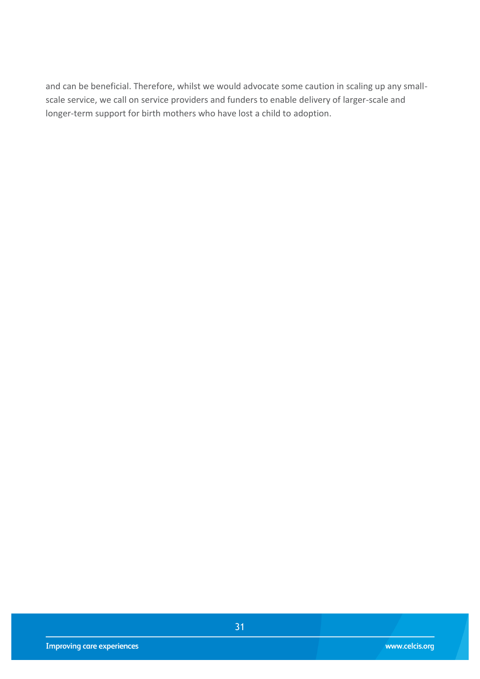<span id="page-30-0"></span>and can be beneficial. Therefore, whilst we would advocate some caution in scaling up any smallscale service, we call on service providers and funders to enable delivery of larger-scale and longer-term support for birth mothers who have lost a child to adoption.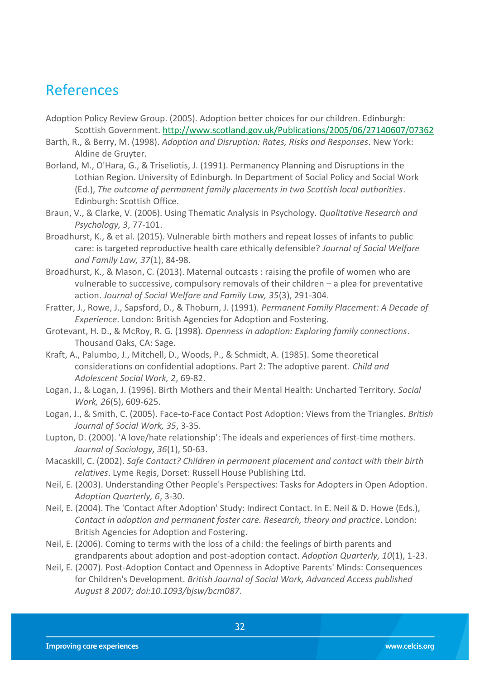## References

- Adoption Policy Review Group. (2005). Adoption better choices for our children. Edinburgh: Scottish Government.<http://www.scotland.gov.uk/Publications/2005/06/27140607/07362>
- Barth, R., & Berry, M. (1998). *Adoption and Disruption: Rates, Risks and Responses*. New York: Aldine de Gruyter.
- Borland, M., O'Hara, G., & Triseliotis, J. (1991). Permanency Planning and Disruptions in the Lothian Region. University of Edinburgh. In Department of Social Policy and Social Work (Ed.), *The outcome of permanent family placements in two Scottish local authorities*. Edinburgh: Scottish Office.
- Braun, V., & Clarke, V. (2006). Using Thematic Analysis in Psychology. *Qualitative Research and Psychology, 3*, 77-101.
- Broadhurst, K., & et al. (2015). Vulnerable birth mothers and repeat losses of infants to public care: is targeted reproductive health care ethically defensible? *Journal of Social Welfare and Family Law, 37*(1), 84-98.
- Broadhurst, K., & Mason, C. (2013). Maternal outcasts : raising the profile of women who are vulnerable to successive, compulsory removals of their children – a plea for preventative action. *Journal of Social Welfare and Family Law, 35*(3), 291-304.
- Fratter, J., Rowe, J., Sapsford, D., & Thoburn, J. (1991). *Permanent Family Placement: A Decade of Experience*. London: British Agencies for Adoption and Fostering.
- Grotevant, H. D., & McRoy, R. G. (1998). *Openness in adoption: Exploring family connections*. Thousand Oaks, CA: Sage.
- Kraft, A., Palumbo, J., Mitchell, D., Woods, P., & Schmidt, A. (1985). Some theoretical considerations on confidential adoptions. Part 2: The adoptive parent. *Child and Adolescent Social Work, 2*, 69-82.
- Logan, J., & Logan, J. (1996). Birth Mothers and their Mental Health: Uncharted Territory. *Social Work, 26*(5), 609-625.
- Logan, J., & Smith, C. (2005). Face-to-Face Contact Post Adoption: Views from the Triangles. *British Journal of Social Work, 35*, 3-35.
- Lupton, D. (2000). 'A love/hate relationship': The ideals and experiences of first-time mothers. *Journal of Sociology, 36*(1), 50-63.
- Macaskill, C. (2002). *Safe Contact? Children in permanent placement and contact with their birth relatives*. Lyme Regis, Dorset: Russell House Publishing Ltd.
- Neil, E. (2003). Understanding Other People's Perspectives: Tasks for Adopters in Open Adoption. *Adoption Quarterly, 6*, 3-30.
- Neil, E. (2004). The 'Contact After Adoption' Study: Indirect Contact. In E. Neil & D. Howe (Eds.), *Contact in adoption and permanent foster care. Research, theory and practice*. London: British Agencies for Adoption and Fostering.
- Neil, E. (2006). Coming to terms with the loss of a child: the feelings of birth parents and grandparents about adoption and post-adoption contact. *Adoption Quarterly, 10*(1), 1-23.
- Neil, E. (2007). Post-Adoption Contact and Openness in Adoptive Parents' Minds: Consequences for Children's Development. *British Journal of Social Work, Advanced Access published August 8 2007; doi:10.1093/bjsw/bcm087*.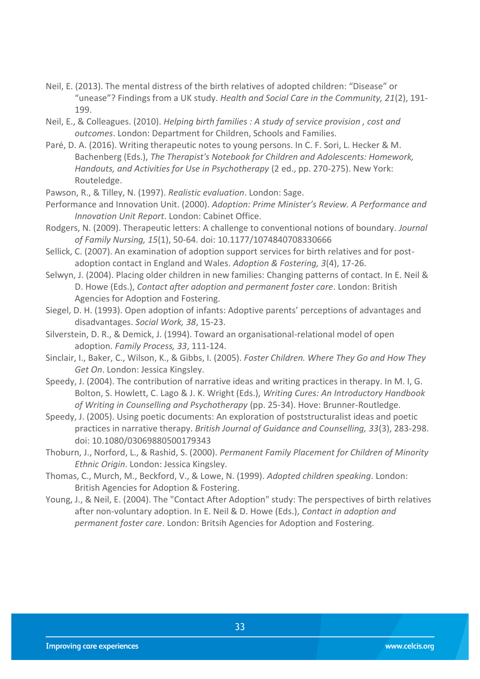- Neil, E. (2013). The mental distress of the birth relatives of adopted children: "Disease" or "unease"? Findings from a UK study. *Health and Social Care in the Community, 21*(2), 191- 199.
- Neil, E., & Colleagues. (2010). *Helping birth families : A study of service provision , cost and outcomes*. London: Department for Children, Schools and Families.
- Paré, D. A. (2016). Writing therapeutic notes to young persons. In C. F. Sori, L. Hecker & M. Bachenberg (Eds.), *The Therapist's Notebook for Children and Adolescents: Homework, Handouts, and Activities for Use in Psychotherapy* (2 ed., pp. 270-275). New York: Routeledge.
- Pawson, R., & Tilley, N. (1997). *Realistic evaluation*. London: Sage.
- Performance and Innovation Unit. (2000). *Adoption: Prime Minister's Review. A Performance and Innovation Unit Report*. London: Cabinet Office.
- Rodgers, N. (2009). Therapeutic letters: A challenge to conventional notions of boundary. *Journal of Family Nursing, 15*(1), 50-64. doi: 10.1177/1074840708330666
- Sellick, C. (2007). An examination of adoption support services for birth relatives and for postadoption contact in England and Wales. *Adoption & Fostering, 3*(4), 17-26.
- Selwyn, J. (2004). Placing older children in new families: Changing patterns of contact. In E. Neil & D. Howe (Eds.), *Contact after adoption and permanent foster care*. London: British Agencies for Adoption and Fostering.
- Siegel, D. H. (1993). Open adoption of infants: Adoptive parents' perceptions of advantages and disadvantages. *Social Work, 38*, 15-23.
- Silverstein, D. R., & Demick, J. (1994). Toward an organisational-relational model of open adoption. *Family Process, 33*, 111-124.
- Sinclair, I., Baker, C., Wilson, K., & Gibbs, I. (2005). *Foster Children. Where They Go and How They Get On*. London: Jessica Kingsley.
- Speedy, J. (2004). The contribution of narrative ideas and writing practices in therapy. In M. I, G. Bolton, S. Howlett, C. Lago & J. K. Wright (Eds.), *Writing Cures: An Introductory Handbook of Writing in Counselling and Psychotherapy* (pp. 25-34). Hove: Brunner-Routledge.
- Speedy, J. (2005). Using poetic documents: An exploration of poststructuralist ideas and poetic practices in narrative therapy. *British Journal of Guidance and Counselling, 33*(3), 283-298. doi: 10.1080/03069880500179343
- Thoburn, J., Norford, L., & Rashid, S. (2000). *Permanent Family Placement for Children of Minority Ethnic Origin*. London: Jessica Kingsley.
- Thomas, C., Murch, M., Beckford, V., & Lowe, N. (1999). *Adopted children speaking*. London: British Agencies for Adoption & Fostering.
- Young, J., & Neil, E. (2004). The "Contact After Adoption" study: The perspectives of birth relatives after non-voluntary adoption. In E. Neil & D. Howe (Eds.), *Contact in adoption and permanent foster care*. London: Britsih Agencies for Adoption and Fostering.